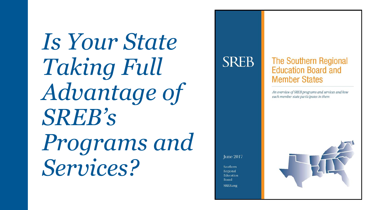*Is Your State Taking Full Advantage of SREB's Programs and Services?*



### **The Southern Regional Education Board and**

An overview of SREB programs and services and how each member state participates in them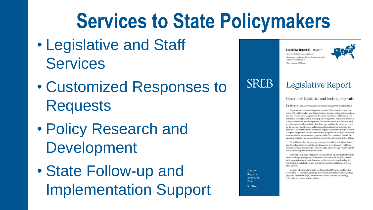### **Services to State Policymakers**

- Legislative and Staff **Services**
- Customized Responses to **Requests**
- Policy Research and Development
- State Follow-up and Implementation Support

Southern Regional **Education** Board SREB.org

**SREB** 

Legislative Report #3 | May 2017 Governor's budget proposal in Delaware Final actions in Arkansas, Georgia, Kentucky, Maryland

Virginia and West Virginia Notes from other SREB states

#### Legislative Report

#### Governors' legislative and budget proposals

Delaware (http://www.budget.delaware.gov/budget/fy2018/index.shtml)

The governor's proposed budget reset plan for 2017-18 would close a projected \$385 million budget shortfall and balance the state budget with reductions and new revenues. Growing expenses for school enrollment and Medicaid contributed to about \$150 million of the gap. The budget reset plan, which draws on the recommendations of the bipartisan Delaware Economic and Financial Advisory Committee's Advisory Council on Revenues, modifies the budget proposed by the governor's predecessor and is designed to contain long-term costs and rebalance Delaware's revenue portfolio to respond to economic growth. It makes changes in corporate franchise taxes and fees, simplifies the personal income tax structure and increases taxes on cigarettes and tobacco products. Overall, the operating budget would increase 0.3 percent over the current year to \$4.1 billion.

For K-12 education, the proposal provides \$25.1 million to fund enrollment growth and new teachers in Delaware classrooms. It provides early childhood education with an additional \$4.7 million, and \$1 million for Opportunity Grants to schools serving disadvantaged students.

The budget includes a \$22 million reduction to the Educational Sustainment Fund but also proposes giving Delaware school districts the flexibility to raise local property taxes without referendum to offset the reduction. Funding for school district and charter school operations would be \$1.1 billion, a decrease of 1.5 percent.

In higher education, funding for the University of Delaware would decline 2 percent to \$116.3 million, reflecting decreases to university operations, college programs and scholarships. Delaware State University would see funding reduced by 1.9 percent to \$34.5 million.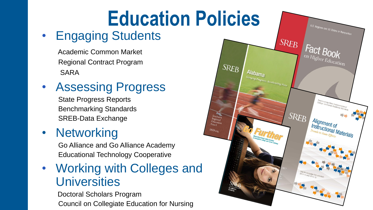# **Education Policies**

### • Engaging Students

Academic Common Market Regional Contract Program SARA

• Assessing Progress

State Progress Reports Benchmarking Standards SREB-Data Exchange

### • Networking

Go Alliance and Go Alliance Academy Educational Technology Cooperative

• Working with Colleges and **Universities** 

Doctoral Scholars Program Council on Collegiate Education for Nursing

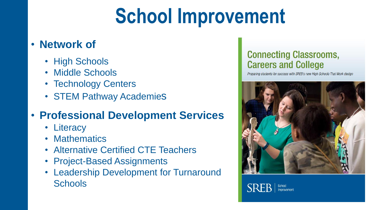## **School Improvement**

#### • **Network of**

- High Schools
- Middle Schools
- Technology Centers
- STEM Pathway Academies

### • **Professional Development Services**

- Literacy
- Mathematics
- Alternative Certified CTE Teachers
- Project-Based Assignments
- Leadership Development for Turnaround **Schools**

#### **Connecting Classrooms, Careers and College**

Preparing students for success with SREB's new High Schools That Work design



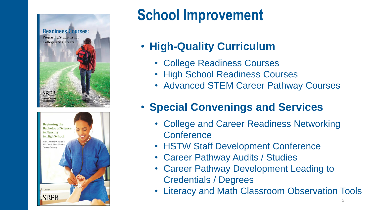



### **School Improvement**

- **High-Quality Curriculum**
	- College Readiness Courses
	- High School Readiness Courses
	- Advanced STEM Career Pathway Courses

### • **Special Convenings and Services**

- College and Career Readiness Networking **Conference**
- HSTW Staff Development Conference
- Career Pathway Audits / Studies
- Career Pathway Development Leading to Credentials / Degrees
- Literacy and Math Classroom Observation Tools